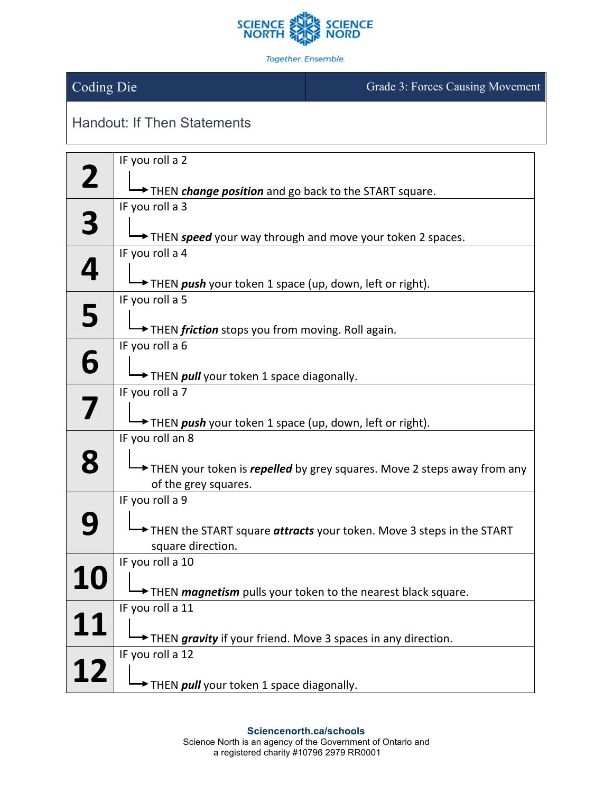

Together. Ensemble.

## Coding Die Grade 3: Forces Causing Movement

## Handout: If Then Statements

|          | IF you roll a 2                                                                           |
|----------|-------------------------------------------------------------------------------------------|
| <b>Z</b> | THEN <i>change position</i> and go back to the <b>START</b> square.                       |
|          | IF you roll a 3                                                                           |
| 3        |                                                                                           |
|          | THEN speed your way through and move your token 2 spaces.<br>IF you roll a 4              |
| 4        |                                                                                           |
|          | THEN <i>push</i> your token 1 space (up, down, left or right).                            |
|          | IF you roll a 5                                                                           |
| 5        |                                                                                           |
|          | THEN friction stops you from moving. Roll again.                                          |
| 6        | IF you roll a 6                                                                           |
|          | THEN <i>pull</i> your token 1 space diagonally.                                           |
|          | IF you roll a 7                                                                           |
| 7        |                                                                                           |
|          | THEN push your token 1 space (up, down, left or right).                                   |
|          | IF you roll an 8                                                                          |
| 8        | THEN your token is repelled by grey squares. Move 2 steps away from any                   |
|          | of the grey squares.                                                                      |
|          | IF you roll a 9                                                                           |
|          |                                                                                           |
|          | THEN the START square attracts your token. Move 3 steps in the START<br>square direction. |
|          | IF you roll a 10                                                                          |
|          |                                                                                           |
|          | THEN <i>magnetism</i> pulls your token to the nearest black square.                       |
|          | IF you roll a 11                                                                          |
|          | THEN gravity if your friend. Move 3 spaces in any direction.                              |
|          | IF you roll a 12                                                                          |
| 12       |                                                                                           |
|          | THEN pull your token 1 space diagonally.                                                  |